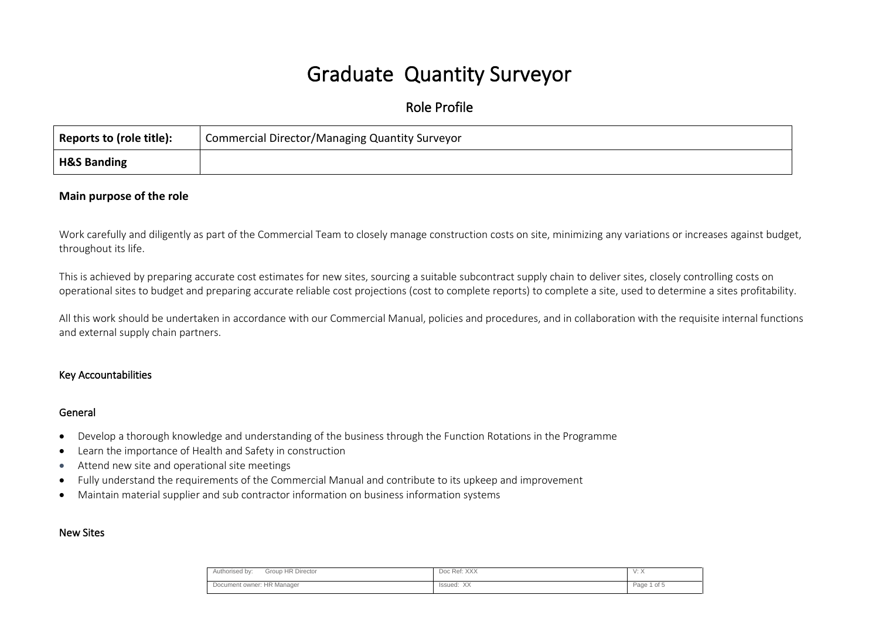# Graduate Quantity Surveyor

# Role Profile

| Reports to (role title): | Commercial Director/Managing Quantity Surveyor |  |
|--------------------------|------------------------------------------------|--|
| <b>H&amp;S Banding</b>   |                                                |  |

## **Main purpose of the role**

Work carefully and diligently as part of the Commercial Team to closely manage construction costs on site, minimizing any variations or increases against budget, throughout its life.

This is achieved by preparing accurate cost estimates for new sites, sourcing a suitable subcontract supply chain to deliver sites, closely controlling costs on operational sites to budget and preparing accurate reliable cost projections (cost to complete reports) to complete a site, used to determine a sites profitability.

All this work should be undertaken in accordance with our Commercial Manual, policies and procedures, and in collaboration with the requisite internal functions and external supply chain partners.

#### Key Accountabilities

#### General

- Develop a thorough knowledge and understanding of the business through the Function Rotations in the Programme
- Learn the importance of Health and Safety in construction
- Attend new site and operational site meetings
- Fully understand the requirements of the Commercial Manual and contribute to its upkeep and improvement
- Maintain material supplier and sub contractor information on business information systems

#### New Sites

| Group HR Director<br>Authorised by: | Doc Ref: XXX        | v. n                      |
|-------------------------------------|---------------------|---------------------------|
| Document owner: HR Manager          | - V V<br>Issued: XX | Page <sup>1</sup><br>of 5 |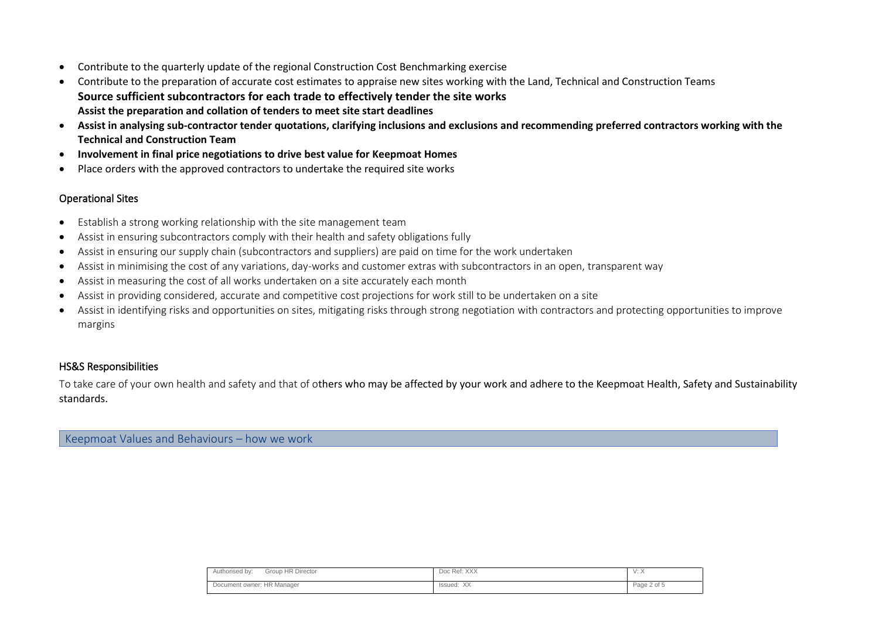- Contribute to the quarterly update of the regional Construction Cost Benchmarking exercise
- Contribute to the preparation of accurate cost estimates to appraise new sites working with the Land, Technical and Construction Teams **Source sufficient subcontractors for each trade to effectively tender the site works Assist the preparation and collation of tenders to meet site start deadlines**
- **Assist in analysing sub-contractor tender quotations, clarifying inclusions and exclusions and recommending preferred contractors working with the Technical and Construction Team**
- **Involvement in final price negotiations to drive best value for Keepmoat Homes**
- Place orders with the approved contractors to undertake the required site works

## Operational Sites

- Establish a strong working relationship with the site management team
- Assist in ensuring subcontractors comply with their health and safety obligations fully
- Assist in ensuring our supply chain (subcontractors and suppliers) are paid on time for the work undertaken
- Assist in minimising the cost of any variations, day-works and customer extras with subcontractors in an open, transparent way
- Assist in measuring the cost of all works undertaken on a site accurately each month
- Assist in providing considered, accurate and competitive cost projections for work still to be undertaken on a site
- Assist in identifying risks and opportunities on sites, mitigating risks through strong negotiation with contractors and protecting opportunities to improve margins

## HS&S Responsibilities

To take care of your own health and safety and that of others who may be affected by your work and adhere to the Keepmoat Health, Safety and Sustainability standards.

Keepmoat Values and Behaviours – how we work

| <b>HR Director</b><br>Group<br>Authorised by: | Doc Ref: XXX                           | $V \cdot \Lambda$ |
|-----------------------------------------------|----------------------------------------|-------------------|
| Document owner: HR Manager                    | $\lambda$<br>Issued:<br>$\wedge\wedge$ | Page 2 of 5       |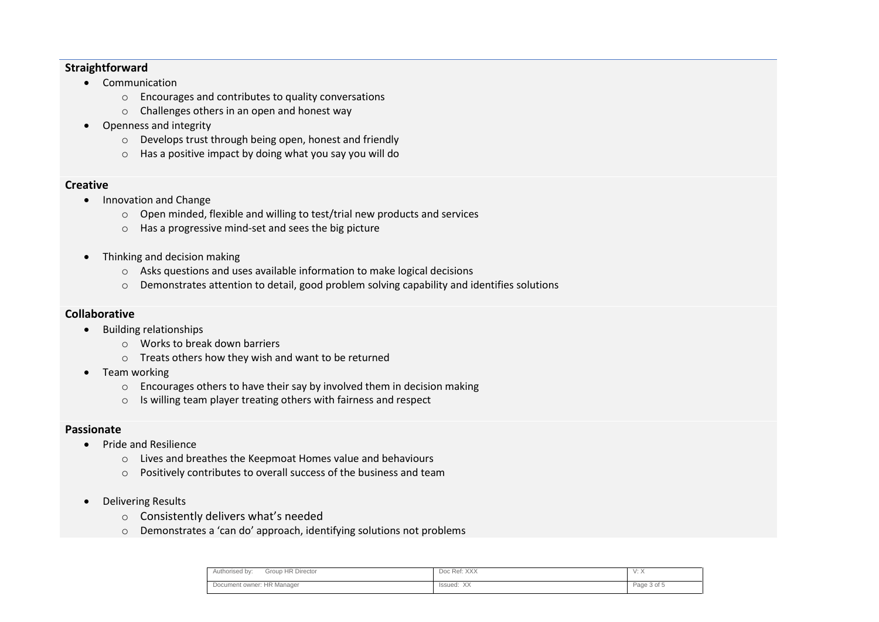## **Straightforward**

- Communication
	- o Encourages and contributes to quality conversations
	- o Challenges others in an open and honest way
- Openness and integrity
	- o Develops trust through being open, honest and friendly
	- o Has a positive impact by doing what you say you will do

## **Creative**

- Innovation and Change
	- o Open minded, flexible and willing to test/trial new products and services
	- o Has a progressive mind-set and sees the big picture
- Thinking and decision making
	- o Asks questions and uses available information to make logical decisions
	- o Demonstrates attention to detail, good problem solving capability and identifies solutions

## **Collaborative**

- Building relationships
	- o Works to break down barriers
	- o Treats others how they wish and want to be returned
- Team working
	- o Encourages others to have their say by involved them in decision making
	- o Is willing team player treating others with fairness and respect

## **Passionate**

- Pride and Resilience
	- o Lives and breathes the Keepmoat Homes value and behaviours
	- o Positively contributes to overall success of the business and team
- Delivering Results
	- o Consistently delivers what's needed
	- o Demonstrates a 'can do' approach, identifying solutions not problems

| Group HR Director<br>Authorised by: | Doc Ref: XXX            | $\cdots$<br>$v \cdot r$ |
|-------------------------------------|-------------------------|-------------------------|
| Document owner: HR Manager          | <b>VV</b><br>Issued: XX | Page 3 of 5             |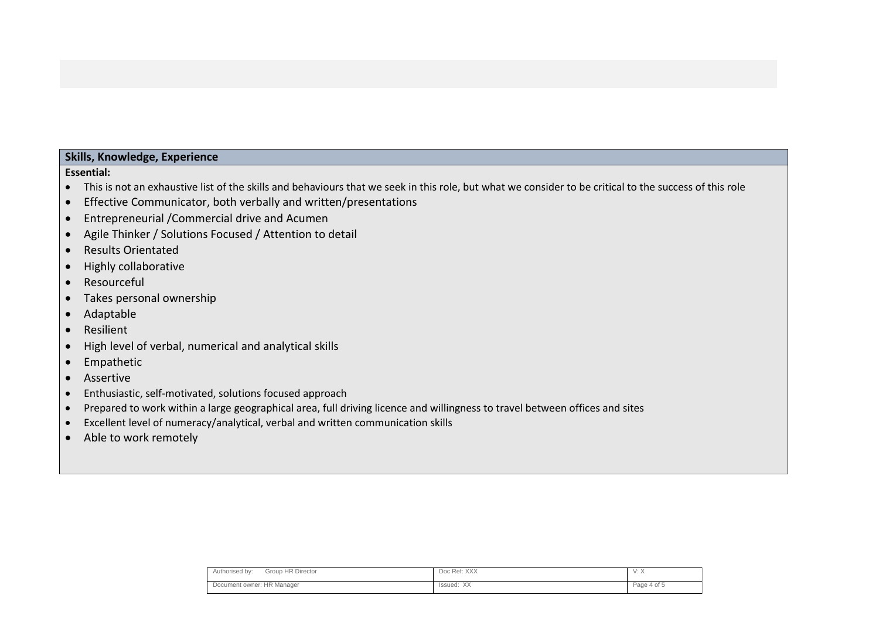## **Skills, Knowledge, Experience**

#### **Essential:**

- This is not an exhaustive list of the skills and behaviours that we seek in this role, but what we consider to be critical to the success of this role
- Effective Communicator, both verbally and written/presentations
- Entrepreneurial /Commercial drive and Acumen
- Agile Thinker / Solutions Focused / Attention to detail
- Results Orientated
- Highly collaborative
- Resourceful
- Takes personal ownership
- Adaptable
- Resilient
- High level of verbal, numerical and analytical skills
- Empathetic
- Assertive
- Enthusiastic, self-motivated, solutions focused approach
- Prepared to work within a large geographical area, full driving licence and willingness to travel between offices and sites
- Excellent level of numeracy/analytical, verbal and written communication skills
- Able to work remotely

| Group HR Director<br>Authorised by: | Doc Ref: XXX  | $v \cdot \prime v$ |
|-------------------------------------|---------------|--------------------|
| Document owner: HR Manager          | XX<br>Issued: | Page 4 of 5        |